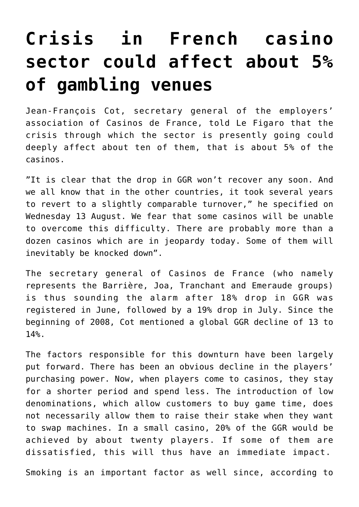## **[Crisis in French casino](https://www.isa-guide.de/english-news/articles/22535.html) [sector could affect about 5%](https://www.isa-guide.de/english-news/articles/22535.html) [of gambling venues](https://www.isa-guide.de/english-news/articles/22535.html)**

Jean-François Cot, secretary general of the employers' association of Casinos de France, told Le Figaro that the crisis through which the sector is presently going could deeply affect about ten of them, that is about 5% of the casinos.

"It is clear that the drop in GGR won't recover any soon. And we all know that in the other countries, it took several years to revert to a slightly comparable turnover," he specified on Wednesday 13 August. We fear that some casinos will be unable to overcome this difficulty. There are probably more than a dozen casinos which are in jeopardy today. Some of them will inevitably be knocked down".

The secretary general of Casinos de France (who namely represents the Barrière, Joa, Tranchant and Emeraude groups) is thus sounding the alarm after 18% drop in GGR was registered in June, followed by a 19% drop in July. Since the beginning of 2008, Cot mentioned a global GGR decline of 13 to 14%.

The factors responsible for this downturn have been largely put forward. There has been an obvious decline in the players' purchasing power. Now, when players come to casinos, they stay for a shorter period and spend less. The introduction of low denominations, which allow customers to buy game time, does not necessarily allow them to raise their stake when they want to swap machines. In a small casino, 20% of the GGR would be achieved by about twenty players. If some of them are dissatisfied, this will thus have an immediate impact.

Smoking is an important factor as well since, according to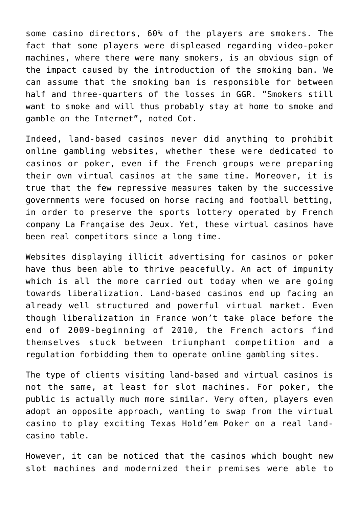some casino directors, 60% of the players are smokers. The fact that some players were displeased regarding video-poker machines, where there were many smokers, is an obvious sign of the impact caused by the introduction of the smoking ban. We can assume that the smoking ban is responsible for between half and three-quarters of the losses in GGR. "Smokers still want to smoke and will thus probably stay at home to smoke and gamble on the Internet", noted Cot.

Indeed, land-based casinos never did anything to prohibit online gambling websites, whether these were dedicated to casinos or poker, even if the French groups were preparing their own virtual casinos at the same time. Moreover, it is true that the few repressive measures taken by the successive governments were focused on horse racing and football betting, in order to preserve the sports lottery operated by French company La Française des Jeux. Yet, these virtual casinos have been real competitors since a long time.

Websites displaying illicit advertising for casinos or poker have thus been able to thrive peacefully. An act of impunity which is all the more carried out today when we are going towards liberalization. Land-based casinos end up facing an already well structured and powerful virtual market. Even though liberalization in France won't take place before the end of 2009-beginning of 2010, the French actors find themselves stuck between triumphant competition and a regulation forbidding them to operate online gambling sites.

The type of clients visiting land-based and virtual casinos is not the same, at least for slot machines. For poker, the public is actually much more similar. Very often, players even adopt an opposite approach, wanting to swap from the virtual casino to play exciting Texas Hold'em Poker on a real landcasino table.

However, it can be noticed that the casinos which bought new slot machines and modernized their premises were able to